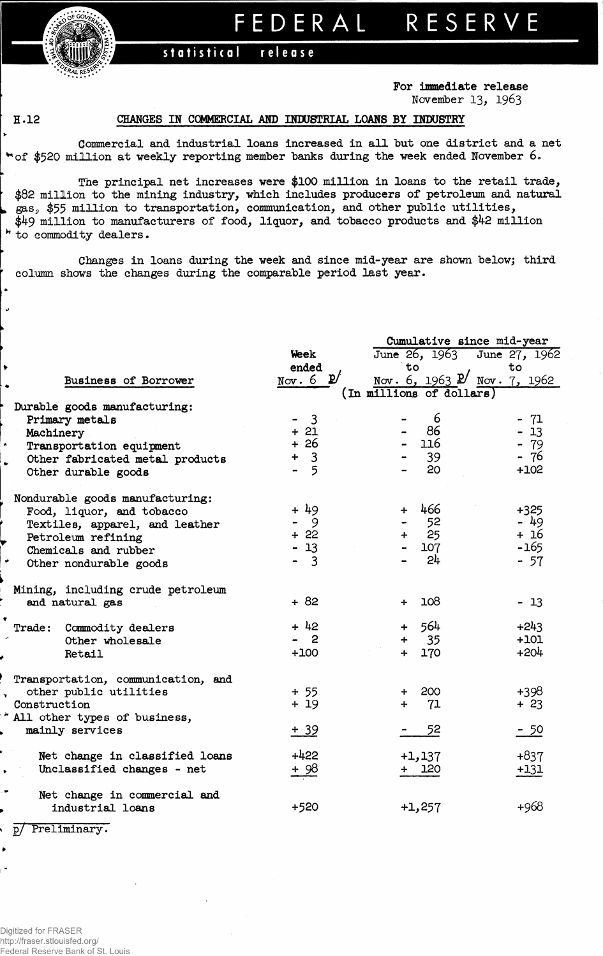**Hill**  *••f^AL* **RE^. -**

# FEDERA L RESERV E

### statistical **release**

**For immediate release November 13, 1963**

## **H.12 CHANGES IN COMMERCIAL AND INDUSTRIAL LOANS BY INDUSTRY**

**Commercial and industrial loans increased in all but one district and a net of \$520 million at weekly reporting member banks during the week ended November 6.**

**The principal net increases were \$100 million in loans to the retail trade, \$82 million to the mining industry, which includes producers of petroleum and natural gasj, \$55 million to transportation, communication, and other public utilities, \$49 million to manufacturers of food, liquor, and tobacco products and \$42 million to commodity dealers.**

**Changes in loans during the week and since mid-year are shown below; third column shows the changes during the comparable period last year.**

|                                    |                     | Cumulative since mid-year              |             |  |  |  |  |  |
|------------------------------------|---------------------|----------------------------------------|-------------|--|--|--|--|--|
|                                    | Week                | June 26, 1963 June 27, 1962            |             |  |  |  |  |  |
|                                    | ended               | to                                     | to          |  |  |  |  |  |
| Business of Borrower               | Nov. 6 $\mathbf{p}$ | Nov. 6, 1963 $\cancel{p}$ Nov. 7, 1962 |             |  |  |  |  |  |
|                                    |                     | (In millions of dollars)               |             |  |  |  |  |  |
| Durable goods manufacturing:       |                     |                                        |             |  |  |  |  |  |
| Primary metals                     | 3                   | 6                                      | -71         |  |  |  |  |  |
| Machinery                          | $+21$               | 86<br>$\blacksquare$                   | 13          |  |  |  |  |  |
| Transportation equipment           | + 26                | 116                                    | $-79$       |  |  |  |  |  |
| Other fabricated metal products    | 3                   | 39                                     | - 76        |  |  |  |  |  |
| Other durable goods                | 5                   | 20                                     | $+102$      |  |  |  |  |  |
| Nondurable goods manufacturing:    |                     |                                        |             |  |  |  |  |  |
| Food, liquor, and tobacco          | $+49$               | 466<br>$\ddot{+}$                      | $+325$      |  |  |  |  |  |
| Textiles, apparel, and leather     | 9                   | 52                                     | - 49        |  |  |  |  |  |
| Petroleum refining                 | -22<br>$+$          | 25<br>$+$                              | + 16        |  |  |  |  |  |
| Chemicals and rubber               | $-13$               | 107                                    | $-165$      |  |  |  |  |  |
| Other nondurable goods             | $\overline{3}$      | 24                                     | $-57$       |  |  |  |  |  |
| Mining, including crude petroleum  |                     |                                        |             |  |  |  |  |  |
| and natural gas                    | $+82$               | 108<br>$+$                             | $-13$       |  |  |  |  |  |
| Commodity dealers<br>Trade:        | $+42$               | 564<br>$+$                             | $+243$      |  |  |  |  |  |
| Other wholesale                    | $\mathbf{2}$        | 35<br>$+$                              | $+101$      |  |  |  |  |  |
| Retail                             | $+100$              | 170<br>$+$ $-$                         | $+204$      |  |  |  |  |  |
| Transportation, communication, and |                     |                                        |             |  |  |  |  |  |
| other public utilities             | $+ 55$              | 200<br>$\ddotmark$                     | $+398$      |  |  |  |  |  |
| Construction                       | $+19$               | 71<br>$+$                              | $+23$       |  |  |  |  |  |
| All other types of business,       |                     |                                        |             |  |  |  |  |  |
| mainly services                    | $+39$               | 52                                     | <u>- 50</u> |  |  |  |  |  |
| Net change in classified loans     | $+422$              | $+1,137$                               | $+837$      |  |  |  |  |  |
| Unclassified changes - net         | <u>+ 98</u>         | + 120                                  | $+131$      |  |  |  |  |  |
| Net change in commercial and       |                     |                                        |             |  |  |  |  |  |
| industrial loans                   | +520                | $+1,257$                               | +968        |  |  |  |  |  |
| Preliminary.<br>p/                 |                     |                                        |             |  |  |  |  |  |

Digitized for FRASER http://fraser.stlouisfed.org/ Federal Reserve Bank of St. Louis

٠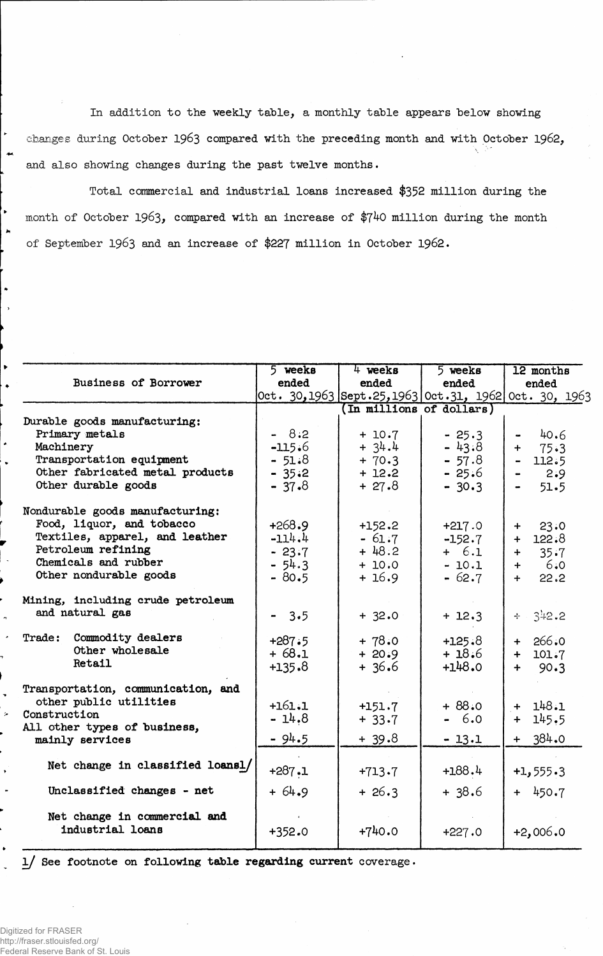In addition to the weekly table, a monthly table appears below showing changes during October 1963 compared with the preceding month and with October 1962, and also showing changes during the past twelve months.

Total commercial and industrial loans increased \$352 million during the month of October 1963, compared with an increase of \$740 million during the month of September 1963 and an increase of \$227 million in October 1962.

|                                    | 5 weeks  | 4 weeks                 | $5$ weeks | 12 months                                              |  |  |
|------------------------------------|----------|-------------------------|-----------|--------------------------------------------------------|--|--|
| <b>Business of Borrower</b>        | ended    | ended                   | ended     | ended                                                  |  |  |
|                                    |          |                         |           | 0ct. 30, 1963 Sept.25, 1963 0ct.31, 1962 0ct. 30, 1963 |  |  |
|                                    |          | In millions of dollars) |           |                                                        |  |  |
| Durable goods manufacturing:       |          |                         |           |                                                        |  |  |
| Primary metals                     | $-8:2$   | $+ 10.7$                | $-25.3$   | 40.6                                                   |  |  |
| Machinery                          | $-115.6$ | $+ 34.4$                | $-43.8$   | 75.3<br>$+$                                            |  |  |
| Transportation equipment           | $-51.8$  | $+ 70.3$                | $-57.8$   | 112.5                                                  |  |  |
| Other fabricated metal products    | $-35.2$  | $+ 12.2$                | $-25.6$   | 2.9                                                    |  |  |
| Other durable goods                | $-37.8$  | $+27.8$                 | $-30.3$   | 51.5                                                   |  |  |
| Nondurable goods manufacturing:    |          |                         |           |                                                        |  |  |
| Food, liquor, and tobacco          | $+268.9$ | $+152.2$                | $+217.0$  | 23:0<br>$+$ $-$                                        |  |  |
| Textiles, apparel, and leather     | $-114.4$ | $-61.7$                 | $-152.7$  | 122.8<br>$+$                                           |  |  |
| Petroleum refining                 | $-23.7$  | $+48.2$                 | $+ 6.1$   | 35.7<br>$+$                                            |  |  |
| Chemicals and rubber               | $-54.3$  | $+ 10.0$                | $-10.1$   | -6.0<br>$+$                                            |  |  |
| Other nondurable goods             | $-80.5$  | $+16.9$                 | $-62.7$   | 22.2<br>$+$                                            |  |  |
| Mining, including crude petroleum  |          |                         |           |                                                        |  |  |
| and natural gas                    | $-3.5$   | $+32.0$                 | $+ 12.3$  | 342.2<br>$+ -$                                         |  |  |
| Trade: Commodity dealers           | $+287.5$ | $+78.0$                 | $+125.8$  | $+ 266.0$                                              |  |  |
| Other wholesale                    | $+68.1$  | $+20.9$                 | $+18.6$   | $+ 101.7$                                              |  |  |
| Retail                             | $+135.8$ | $+36.6$                 | $+148.0$  | 90.3<br>$+$                                            |  |  |
| Transportation, communication, and |          |                         |           |                                                        |  |  |
| other public utilities             | $+161.1$ | $+151.7$                | $+88.0$   | $+ 148.1$                                              |  |  |
| Construction                       | $-14.8$  | $+33.7$                 | $-6.0$    | 145.5<br>$+$                                           |  |  |
| All other types of business,       |          |                         |           |                                                        |  |  |
| mainly services                    | $-94.5$  | $+39.8$                 | $-13.1$   | $+ 384.0$                                              |  |  |
| Net change in classified loansl/   |          |                         | $+188.4$  |                                                        |  |  |
|                                    | $+287.1$ | $+713.7$                |           | $+1, 555.3$                                            |  |  |
| Unclassified changes - net         | $+64.9$  | $+26.3$                 | $+38.6$   | $+ 450.7$                                              |  |  |
| Net change in commercial and       |          |                         |           |                                                        |  |  |
| industrial loans                   | $+352.0$ | $+740.0$                | $+227.0$  | $+2,006.0$                                             |  |  |

1/ See footnote on following table regarding current coverage.

Digitized for FRASER http://fraser.stlouisfed.org/ Federal Reserve Bank of St. Louis

 $\bullet$